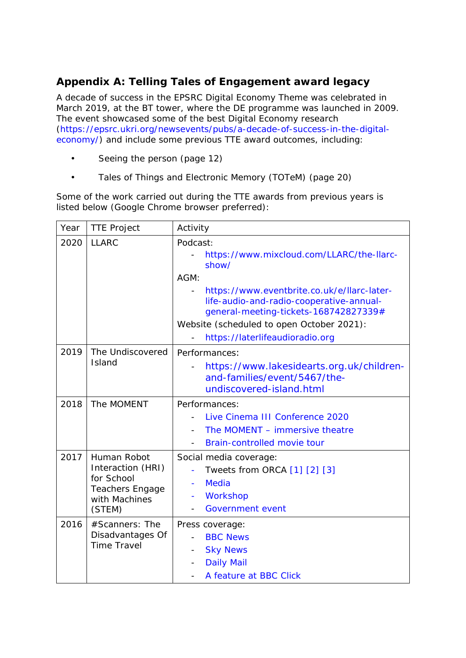## **Appendix A: Telling Tales of Engagement award legacy**

A decade of success in the EPSRC Digital Economy Theme was celebrated in March 2019, at the BT tower, where the DE programme was launched in 2009. The event showcased some of the best Digital Economy research [\(https://epsrc.ukri.org/newsevents/pubs/a-decade-of-success-in-the-digital](https://epsrc.ukri.org/newsevents/pubs/a-decade-of-success-in-the-digital-economy/)[economy/\)](https://epsrc.ukri.org/newsevents/pubs/a-decade-of-success-in-the-digital-economy/) and include some previous TTE award outcomes, including:

- Seeing the person (page 12)
- Tales of Things and Electronic Memory (TOTeM) (page 20)

Some of the work carried out during the TTE awards from previous years is listed below (Google Chrome browser preferred):

| Year | <b>TTE Project</b>                                                                           | Activity                                                                                                                                                                                                                                                                                   |
|------|----------------------------------------------------------------------------------------------|--------------------------------------------------------------------------------------------------------------------------------------------------------------------------------------------------------------------------------------------------------------------------------------------|
| 2020 | <b>LLARC</b>                                                                                 | Podcast:<br>https://www.mixcloud.com/LLARC/the-Ilarc-<br>show/<br>AGM:<br>https://www.eventbrite.co.uk/e/llarc-later-<br>life-audio-and-radio-cooperative-annual-<br>general-meeting-tickets-168742827339#<br>Website (scheduled to open October 2021):<br>https://laterlifeaudioradio.org |
| 2019 | The Undiscovered<br>Island                                                                   | Performances:<br>https://www.lakesidearts.org.uk/children-<br>and-families/event/5467/the-<br>undiscovered-island.html                                                                                                                                                                     |
| 2018 | The MOMENT                                                                                   | Performances:<br>Live Cinema III Conference 2020<br>The MOMENT - immersive theatre<br>Brain-controlled movie tour                                                                                                                                                                          |
| 2017 | Human Robot<br>Interaction (HRI)<br>for School<br>Teachers Engage<br>with Machines<br>(STEM) | Social media coverage:<br>Tweets from ORCA [1] [2] [3]<br><b>Media</b><br>$\overline{\phantom{a}}$<br>Workshop<br><b>Government event</b>                                                                                                                                                  |
| 2016 | #Scanners: The<br>Disadvantages Of<br><b>Time Travel</b>                                     | Press coverage:<br><b>BBC News</b><br><b>Sky News</b><br><b>Daily Mail</b><br>A feature at BBC Click                                                                                                                                                                                       |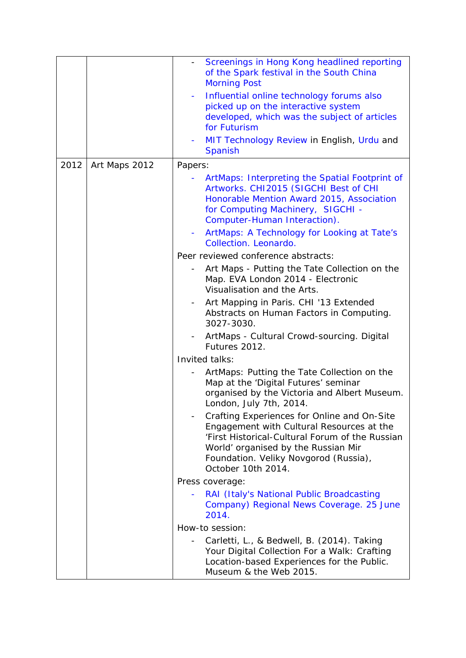|      |               | Screenings in Hong Kong headlined reporting<br>of the Spark festival in the South China<br><b>Morning Post</b><br>Influential online technology forums also<br>picked up on the interactive system<br>developed, which was the subject of articles<br>for Futurism<br>MIT Technology Review in English, Urdu and<br><b>Spanish</b> |
|------|---------------|------------------------------------------------------------------------------------------------------------------------------------------------------------------------------------------------------------------------------------------------------------------------------------------------------------------------------------|
| 2012 | Art Maps 2012 | Papers:                                                                                                                                                                                                                                                                                                                            |
|      |               | ArtMaps: Interpreting the Spatial Footprint of<br>Artworks. CHI2015 (SIGCHI Best of CHI<br>Honorable Mention Award 2015, Association<br>for Computing Machinery, SIGCHI -<br>Computer-Human Interaction).<br>ArtMaps: A Technology for Looking at Tate's                                                                           |
|      |               | Collection. Leonardo.                                                                                                                                                                                                                                                                                                              |
|      |               | Peer reviewed conference abstracts:                                                                                                                                                                                                                                                                                                |
|      |               | Art Maps - Putting the Tate Collection on the<br>Map. EVA London 2014 - Electronic<br>Visualisation and the Arts.                                                                                                                                                                                                                  |
|      |               | Art Mapping in Paris. CHI '13 Extended<br>Abstracts on Human Factors in Computing.<br>3027-3030.                                                                                                                                                                                                                                   |
|      |               | ArtMaps - Cultural Crowd-sourcing. Digital<br>Futures 2012.                                                                                                                                                                                                                                                                        |
|      |               | Invited talks:                                                                                                                                                                                                                                                                                                                     |
|      |               | ArtMaps: Putting the Tate Collection on the<br>Map at the 'Digital Futures' seminar<br>organised by the Victoria and Albert Museum.<br>London, July 7th, 2014                                                                                                                                                                      |
|      |               | Crafting Experiences for Online and On-Site<br>Engagement with Cultural Resources at the<br>'First Historical-Cultural Forum of the Russian<br>World' organised by the Russian Mir<br>Foundation. Veliky Novgorod (Russia),<br>October 10th 2014.                                                                                  |
|      |               | Press coverage:                                                                                                                                                                                                                                                                                                                    |
|      |               | RAI (Italy's National Public Broadcasting<br>Company) Regional News Coverage. 25 June<br>2014.                                                                                                                                                                                                                                     |
|      |               | How-to session:                                                                                                                                                                                                                                                                                                                    |
|      |               | Carletti, L., & Bedwell, B. (2014). Taking<br>Your Digital Collection For a Walk: Crafting<br>Location-based Experiences for the Public.<br>Museum & the Web 2015.                                                                                                                                                                 |